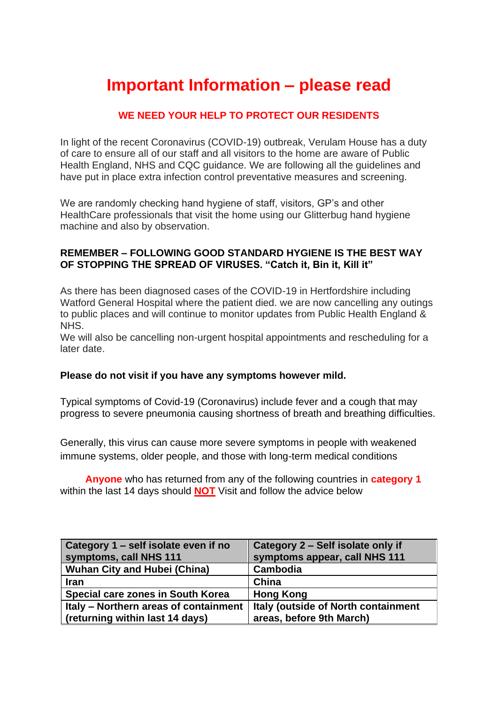# **Important Information – please read**

# **WE NEED YOUR HELP TO PROTECT OUR RESIDENTS**

In light of the recent Coronavirus (COVID-19) outbreak, Verulam House has a duty of care to ensure all of our staff and all visitors to the home are aware of Public Health England, NHS and CQC guidance. We are following all the guidelines and have put in place extra infection control preventative measures and screening.

We are randomly checking hand hygiene of staff, visitors, GP's and other HealthCare professionals that visit the home using our Glitterbug hand hygiene machine and also by observation.

## **REMEMBER – FOLLOWING GOOD STANDARD HYGIENE IS THE BEST WAY OF STOPPING THE SPREAD OF VIRUSES. "Catch it, Bin it, Kill it"**

As there has been diagnosed cases of the COVID-19 in Hertfordshire including Watford General Hospital where the patient died. we are now cancelling any outings to public places and will continue to monitor updates from Public Health England & NHS.

We will also be cancelling non-urgent hospital appointments and rescheduling for a later date.

### **Please do not visit if you have any symptoms however mild.**

Typical symptoms of Covid-19 (Coronavirus) include fever and a cough that may progress to severe pneumonia causing shortness of breath and breathing difficulties.

Generally, this virus can cause more severe symptoms in people with weakened immune systems, older people, and those with long-term medical conditions

 **Anyone** who has returned from any of the following countries in **category 1** within the last 14 days should **NOT** Visit and follow the advice below

| Category 1 – self isolate even if no<br>symptoms, call NHS 111 | Category 2 – Self isolate only if<br>symptoms appear, call NHS 111 |
|----------------------------------------------------------------|--------------------------------------------------------------------|
| <b>Wuhan City and Hubei (China)</b>                            | Cambodia                                                           |
| <b>Iran</b>                                                    | China                                                              |
| Special care zones in South Korea                              | <b>Hong Kong</b>                                                   |
| Italy - Northern areas of containment                          | Italy (outside of North containment                                |
| (returning within last 14 days)                                | areas, before 9th March)                                           |